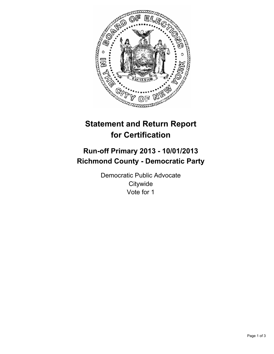

# **Statement and Return Report for Certification**

## **Run-off Primary 2013 - 10/01/2013 Richmond County - Democratic Party**

Democratic Public Advocate **Citywide** Vote for 1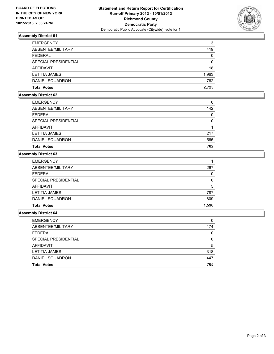

### **Assembly District 61**

| <b>EMERGENCY</b>     | 3        |
|----------------------|----------|
| ABSENTEE/MILITARY    | 419      |
| <b>FEDERAL</b>       | 0        |
| SPECIAL PRESIDENTIAL | $\Omega$ |
| AFFIDAVIT            | 18       |
| <b>LETITIA JAMES</b> | 1,963    |
| DANIEL SQUADRON      | 762      |
| <b>Total Votes</b>   | 2.725    |

### **Assembly District 62**

| <b>EMERGENCY</b>     | 0   |
|----------------------|-----|
| ABSENTEE/MILITARY    | 142 |
| <b>FEDERAL</b>       | 0   |
| SPECIAL PRESIDENTIAL | 0   |
| <b>AFFIDAVIT</b>     |     |
| <b>LETITIA JAMES</b> | 217 |
| DANIEL SQUADRON      | 565 |
| <b>Total Votes</b>   | 782 |

#### **Assembly District 63**

| <b>EMERGENCY</b>       |       |
|------------------------|-------|
| ABSENTEE/MILITARY      | 267   |
| <b>FEDERAL</b>         | 0     |
| SPECIAL PRESIDENTIAL   | 0     |
| <b>AFFIDAVIT</b>       | 5     |
| <b>LETITIA JAMES</b>   | 787   |
| <b>DANIEL SQUADRON</b> | 809   |
| <b>Total Votes</b>     | 1,596 |

#### **Assembly District 64**

| <b>EMERGENCY</b>     | 0   |
|----------------------|-----|
| ABSENTEE/MILITARY    | 174 |
| <b>FEDERAL</b>       | 0   |
| SPECIAL PRESIDENTIAL | 0   |
| <b>AFFIDAVIT</b>     | 5   |
| <b>LETITIA JAMES</b> | 318 |
| DANIEL SQUADRON      | 447 |
| <b>Total Votes</b>   | 765 |